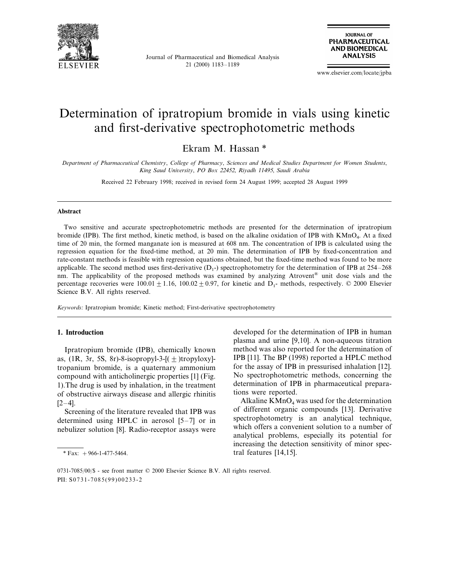

Journal of Pharmaceutical and Biomedical Analysis 21 (2000) 1183–1189



www.elsevier.com/locate/jpba

# Determination of ipratropium bromide in vials using kinetic and first-derivative spectrophotometric methods

Ekram M. Hassan \*

*Department of Pharmaceutical Chemistry*, *College of Pharmacy*, *Sciences and Medical Studies Department for Women Students*, *King Saud Uni*6*ersity*, *PO Box* <sup>22452</sup>, *Riyadh* <sup>11495</sup>, *Saudi Arabia*

Received 22 February 1998; received in revised form 24 August 1999; accepted 28 August 1999

#### **Abstract**

Two sensitive and accurate spectrophotometric methods are presented for the determination of ipratropium bromide (IPB). The first method, kinetic method, is based on the alkaline oxidation of IPB with KMnO<sub>4</sub>. At a fixed time of 20 min, the formed manganate ion is measured at 608 nm. The concentration of IPB is calculated using the regression equation for the fixed-time method, at 20 min. The determination of IPB by fixed-concentration and rate-constant methods is feasible with regression equations obtained, but the fixed-time method was found to be more applicable. The second method uses first-derivative  $(D_1)$ - spectrophotometry for the determination of IPB at 254–268 nm. The applicability of the proposed methods was examined by analyzing Atrovent® unit dose vials and the percentage recoveries were  $100.01 \pm 1.16$ ,  $100.02 \pm 0.97$ , for kinetic and D<sub>1</sub>- methods, respectively. © 2000 Elsevier Science B.V. All rights reserved.

*Keywords*: Ipratropium bromide; Kinetic method; First-derivative spectrophotometry

## **1. Introduction**

Ipratropium bromide (IPB), chemically known as, (1R, 3r, 5S, 8r)-8-isopropyl-3- $[(\pm)$ tropyloxy]tropanium bromide, is a quaternary ammonium compound with anticholinergic properties [1] (Fig. 1).The drug is used by inhalation, in the treatment of obstructive airways disease and allergic rhinitis  $[2-4]$ .

Screening of the literature revealed that IPB was determined using HPLC in aerosol [5–7] or in nebulizer solution [8]. Radio-receptor assays were

developed for the determination of IPB in human plasma and urine [9,10]. A non-aqueous titration method was also reported for the determination of IPB [11]. The BP (1998) reported a HPLC method for the assay of IPB in pressurised inhalation [12]. No spectrophotometric methods, concerning the determination of IPB in pharmaceutical preparations were reported.

Alkaline  $KMnO_4$  was used for the determination of different organic compounds [13]. Derivative spectrophotometry is an analytical technique, which offers a convenient solution to a number of analytical problems, especially its potential for increasing the detection sensitivity of minor spec- \* Fax:  $+966-1-477-5464$ . tral features [14,15].

<sup>0731-7085</sup>/00/\$ - see front matter © 2000 Elsevier Science B.V. All rights reserved. PII: S0731-7085(99)00233-2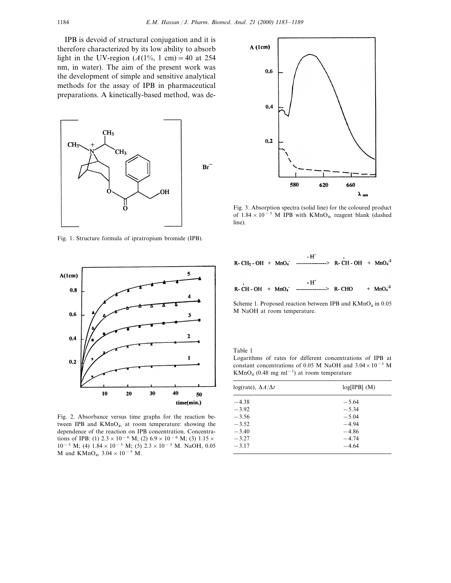IPB is devoid of structural conjugation and it is therefore characterized by its low ability to absorb light in the UV-region  $(A(1\%, 1 \text{ cm}) = 40 \text{ at } 254$ nm, in water). The aim of the present work was the development of simple and sensitive analytical methods for the assay of IPB in pharmaceutical preparations. A kinetically-based method, was de-



Fig. 1. Structure formula of ipratropium bromide (IPB).



Fig. 2. Absorbance versus time graphs for the reaction between IPB and  $KMnO<sub>4</sub>$ , at room temperature: showing the dependence of the reaction on IPB concentration. Concentrations of IPB: (1)  $2.3 \times 10^{-6}$  M; (2)  $6.9 \times 10^{-6}$  M; (3)  $1.15 \times$ 10<sup>-5</sup> M; (4)  $1.84 \times 10^{-5}$  M; (5)  $2.3 \times 10^{-5}$  M. NaOH, 0.05 M and KMnO<sub>4</sub>,  $3.04 \times 10^{-3}$  M.



Fig. 3. Absorption spectra (solid line) for the coloured product of  $1.84 \times 10^{-5}$  M IPB with KMnO<sub>4</sub>, reagent blank (dashed line).



Scheme 1. Proposed reaction between IPB and  $KMnO<sub>4</sub>$  in 0.05 M NaOH at room temperature.

Table 1

Logarithms of rates for different concentrations of IPB at constant concentrations of 0.05 M NaOH and  $3.04 \times 10^{-3}$  M KMnO<sub>4</sub> (0.48 mg ml<sup>-1</sup>) at room temperature

| $log(rate)$ , $\Delta A/\Delta t$ | $log[IPB]$ $(M)$ |
|-----------------------------------|------------------|
| $-4.38$                           | $-5.64$          |
| $-3.92$                           | $-5.34$          |
| $-3.56$                           | $-5.04$          |
| $-3.52$                           | $-4.94$          |
| $-3.40$                           | $-4.86$          |
| $-3.27$                           | $-4.74$          |
| $-3.17$                           | $-4.64$          |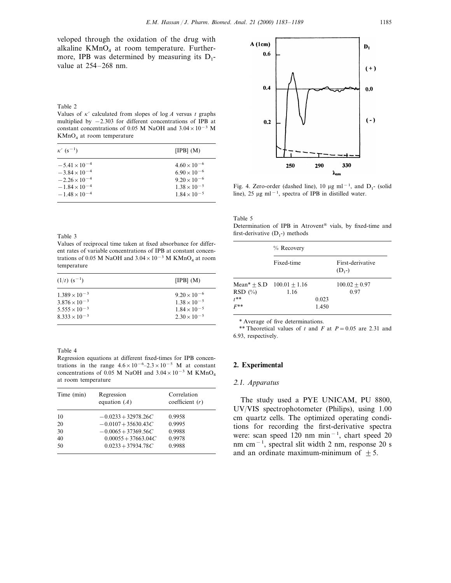#### Table 2

Values of  $\kappa'$  calculated from slopes of log *A* versus *t* graphs multiplied by −2.303 for different concentrations of IPB at constant concentrations of 0.05 M NaOH and  $3.04 \times 10^{-3}$  M  $KMnO<sub>4</sub>$  at room temperature

| $\kappa'$ (s <sup>-1</sup> ) | [IPB] $(M)$           |
|------------------------------|-----------------------|
| $-5.41 \times 10^{-4}$       | $4.60 \times 10^{-6}$ |
| $-3.84 \times 10^{-4}$       | $6.90 \times 10^{-6}$ |
| $-2.26 \times 10^{-4}$       | $9.20 \times 10^{-6}$ |
| $-1.84 \times 10^{-4}$       | $1.38 \times 10^{-5}$ |
| $-1.48 \times 10^{-4}$       | $1.84 \times 10^{-5}$ |

#### Table 3

Values of reciprocal time taken at fixed absorbance for different rates of variable concentrations of IPB at constant concentrations of 0.05 M NaOH and  $3.04 \times 10^{-3}$  M KMnO<sub>4</sub> at room temperature

| $(1/t)$ $(s^{-1})$                               | [IPB] $(M)$                                    |
|--------------------------------------------------|------------------------------------------------|
| $1.389 \times 10^{-3}$                           | $9.20 \times 10^{-6}$                          |
| $3.876 \times 10^{-3}$<br>$5.555 \times 10^{-3}$ | $1.38 \times 10^{-5}$<br>$1.84 \times 10^{-5}$ |
| $8.333 \times 10^{-3}$                           | $2.30 \times 10^{-5}$                          |

Table 4

Regression equations at different fixed-times for IPB concentrations in the range  $4.6 \times 10^{-6} - 2.3 \times 10^{-5}$  M at constant concentrations of 0.05 M NaOH and  $3.04 \times 10^{-3}$  M KMnO<sub>4</sub> at room temperature

| Time (min) | Regression<br>equation $(A)$ | Correlation<br>coefficient $(r)$ |
|------------|------------------------------|----------------------------------|
| 10         | $-0.0233 + 32978.26C$        | 0.9958                           |
| 20         | $-0.0107 + 35630.43C$        | 0.9995                           |
| 30         | $-0.0065 + 37369.56C$        | 0.9988                           |
| 40         | $0.00055 + 37663.04C$        | 0.9978                           |
| 50         | $0.0233 + 37934.78C$         | 0.9988                           |



Fig. 4. Zero-order (dashed line), 10 µg ml<sup>-1</sup>, and D<sub>1</sub>- (solid line), 25 µg ml<sup>-1</sup>, spectra of IPB in distilled water.

Table 5

Determination of IPB in Atrovent® vials, by fixed-time and first-derivative  $(D_1-)$  methods

|                                   | % Recovery                                |                |                              |  |
|-----------------------------------|-------------------------------------------|----------------|------------------------------|--|
|                                   | Fixed-time                                |                | First-derivative<br>$(D_1-)$ |  |
| $RSD(\%)$<br>$t^{**}$<br>$F^{**}$ | $Mean* + S.D \quad 100.01 + 1.16$<br>1.16 | 0.023<br>1.450 | $100.02 + 0.97$<br>0.97      |  |

\* Average of five determinations.

\*\* Theoretical values of *t* and *F* at  $P = 0.05$  are 2.31 and 6.93, respectively.

## **2. Experimental**

## <sup>2</sup>.1. *Apparatus*

The study used a PYE UNICAM, PU 8800, UV/VIS spectrophotometer (Philips), using 1.00 cm quartz cells. The optimized operating conditions for recording the first-derivative spectra were: scan speed 120 nm min−<sup>1</sup> , chart speed 20 nm cm−<sup>1</sup> , spectral slit width 2 nm, response 20 s and an ordinate maximum-minimum of  $\pm$  5.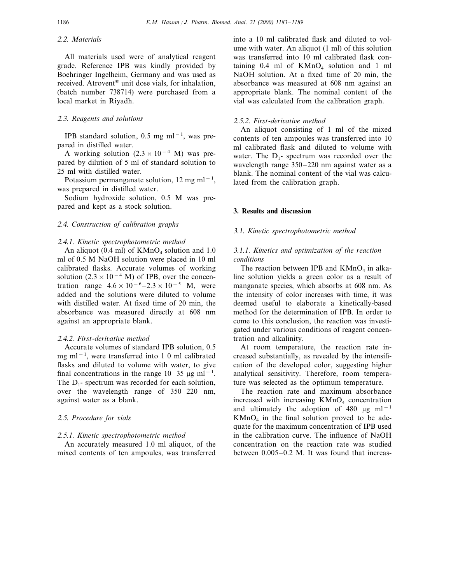# <sup>2</sup>.2. *Materials*

All materials used were of analytical reagent grade. Reference IPB was kindly provided by Boehringer Ingelheim, Germany and was used as received. Atrovent® unit dose vials, for inhalation, (batch number 738714) were purchased from a local market in Riyadh.

## <sup>2</sup>.3. *Reagents and solutions*

IPB standard solution, 0.5 mg ml−<sup>1</sup> , was prepared in distilled water.

A working solution  $(2.3 \times 10^{-4} \text{ M})$  was prepared by dilution of 5 ml of standard solution to 25 ml with distilled water.

Potassium permanganate solution, 12 mg ml<sup>-1</sup>, was prepared in distilled water.

Sodium hydroxide solution, 0.5 M was prepared and kept as a stock solution.

## <sup>2</sup>.4. *Construction of calibration graphs*

#### <sup>2</sup>.4.1. *Kinetic spectrophotometric method*

An aliquot (0.4 ml) of  $KMnO<sub>4</sub>$  solution and 1.0 ml of 0.5 M NaOH solution were placed in 10 ml calibrated flasks. Accurate volumes of working solution (2.3 × 10<sup>-4</sup> M) of IPB, over the concentration range  $4.6 \times 10^{-6} - 2.3 \times 10^{-5}$  M, were added and the solutions were diluted to volume with distilled water. At fixed time of 20 min, the absorbance was measured directly at 608 nm against an appropriate blank.

## <sup>2</sup>.4.2. *First*-*deri*6*ati*6*e method*

Accurate volumes of standard IPB solution, 0.5 mg ml<sup>−</sup><sup>1</sup> , were transferred into 1 0 ml calibrated flasks and diluted to volume with water, to give final concentrations in the range  $10-35 \mu g$  ml<sup>-1</sup>. The  $D_1$ - spectrum was recorded for each solution, over the wavelength range of 350–220 nm, against water as a blank.

#### 2.5. Procedure for vials

#### <sup>2</sup>.5.1. *Kinetic spectrophotometric method*

An accurately measured 1.0 ml aliquot, of the mixed contents of ten ampoules, was transferred

into a 10 ml calibrated flask and diluted to volume with water. An aliquot (1 ml) of this solution was transferred into 10 ml calibrated flask containing  $0.4$  ml of  $KMnO<sub>4</sub>$  solution and 1 ml NaOH solution. At a fixed time of 20 min, the absorbance was measured at 608 nm against an appropriate blank. The nominal content of the vial was calculated from the calibration graph.

#### <sup>2</sup>.5.2. *First*-*deri*6*ati*6*e method*

An aliquot consisting of 1 ml of the mixed contents of ten ampoules was transferred into 10 ml calibrated flask and diluted to volume with water. The  $D_1$ - spectrum was recorded over the wavelength range 350–220 nm against water as a blank. The nominal content of the vial was calculated from the calibration graph.

# **3. Results and discussion**

# 3.1. *Kinetic spectrophotometric method*

# 3.1.1. *Kinetics and optimization of the reaction conditions*

The reaction between IPB and  $KMnO<sub>4</sub>$  in alkaline solution yields a green color as a result of manganate species, which absorbs at 608 nm. As the intensity of color increases with time, it was deemed useful to elaborate a kinetically-based method for the determination of IPB. In order to come to this conclusion, the reaction was investigated under various conditions of reagent concentration and alkalinity.

At room temperature, the reaction rate increased substantially, as revealed by the intensification of the developed color, suggesting higher analytical sensitivity. Therefore, room temperature was selected as the optimum temperature.

The reaction rate and maximum absorbance increased with increasing  $KMnO<sub>4</sub>$  concentration and ultimately the adoption of 480  $\mu$ g ml<sup>-1</sup>  $KMnO<sub>4</sub>$  in the final solution proved to be adequate for the maximum concentration of IPB used in the calibration curve. The influence of NaOH concentration on the reaction rate was studied between 0.005–0.2 M. It was found that increas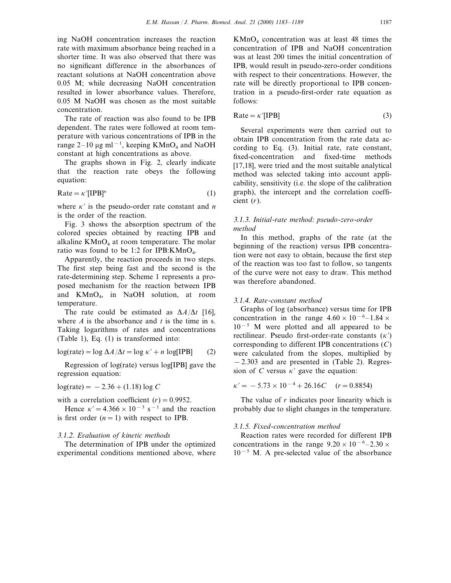ing NaOH concentration increases the reaction rate with maximum absorbance being reached in a shorter time. It was also observed that there was no significant difference in the absorbances of reactant solutions at NaOH concentration above 0.05 M; while decreasing NaOH concentration resulted in lower absorbance values. Therefore, 0.05 M NaOH was chosen as the most suitable concentration.

The rate of reaction was also found to be IPB dependent. The rates were followed at room temperature with various concentrations of IPB in the range 2–10 µg ml<sup>-1</sup>, keeping KMnO<sub>4</sub> and NaOH constant at high concentrations as above.

The graphs shown in Fig. 2, clearly indicate that the reaction rate obeys the following equation:

$$
Rate = \kappa'[IPB]^{n}
$$
 (1)

where  $\kappa'$  is the pseudo-order rate constant and *n* is the order of the reaction.

Fig. 3 shows the absorption spectrum of the colored species obtained by reacting IPB and alkaline  $KMnO<sub>4</sub>$  at room temperature. The molar ratio was found to be 1:2 for IPB: $K MnO<sub>4</sub>$ .

Apparently, the reaction proceeds in two steps. The first step being fast and the second is the rate-determining step. Scheme 1 represents a proposed mechanism for the reaction between IPB and KMnO4, in NaOH solution, at room temperature.

The rate could be estimated as  $\Delta A/\Delta t$  [16], where *A* is the absorbance and *t* is the time in s. Taking logarithms of rates and concentrations (Table 1), Eq. (1) is transformed into:

$$
\log(\text{rate}) = \log \Delta A / \Delta t = \log \kappa' + n \log[\text{IPB}] \tag{2}
$$

Regression of log(rate) versus log[IPB] gave the regression equation:

 $log(\text{rate}) = -2.36 + (1.18) \log C$ 

with a correlation coefficient  $(r) = 0.9952$ .

Hence  $\kappa' = 4.366 \times 10^{-3}$  s<sup>-1</sup> and the reaction is first order  $(n = 1)$  with respect to IPB.

## <sup>3</sup>.1.2. *E*6*aluation of kinetic methods*

The determination of IPB under the optimized experimental conditions mentioned above, where

 $KMnO<sub>4</sub>$  concentration was at least 48 times the concentration of IPB and NaOH concentration was at least 200 times the initial concentration of IPB, would result in pseudo-zero-order conditions with respect to their concentrations. However, the rate will be directly proportional to IPB concentration in a pseudo-first-order rate equation as follows:

 $Rate = \kappa'[IPB]$  (3)

Several experiments were then carried out to obtain IPB concentration from the rate data according to Eq. (3). Initial rate, rate constant, fixed-concentration and fixed-time methods [17,18], were tried and the most suitable analytical method was selected taking into account applicability, sensitivity (i.e. the slope of the calibration graph), the intercept and the correlation coefficient (*r*).

## 3.1.3. *Initial*-*rate method*: *pseudo*-*zero*-*order method*

In this method, graphs of the rate (at the beginning of the reaction) versus IPB concentration were not easy to obtain, because the first step of the reaction was too fast to follow, so tangents of the curve were not easy to draw. This method was therefore abandoned.

# 3.1.4. *Rate*-*constant method*

Graphs of log (absorbance) versus time for IPB concentration in the range  $4.60 \times 10^{-6} - 1.84 \times$  $10^{-5}$  M were plotted and all appeared to be rectilinear. Pseudo first-order-rate constants  $(\kappa')$ corresponding to different IPB concentrations (*C*) were calculated from the slopes, multiplied by −2.303 and are presented in (Table 2). Regression of *C* versus  $\kappa'$  gave the equation:

 $\kappa' = -5.73 \times 10^{-4} + 26.16C$  (*r* = 0.8854)

The value of *r* indicates poor linearity which is probably due to slight changes in the temperature.

## 3.1.5. *Fixed*-*concentration method*

Reaction rates were recorded for different IPB concentrations in the range  $9.20 \times 10^{-6} - 2.30 \times$ 10−<sup>5</sup> M. A pre-selected value of the absorbance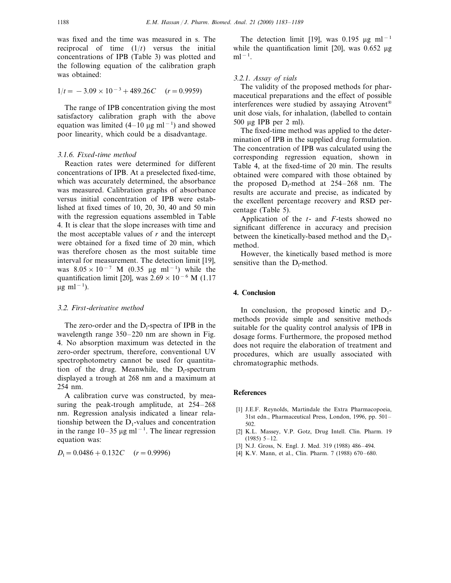was fixed and the time was measured in s. The reciprocal of time  $(1/t)$  versus the initial concentrations of IPB (Table 3) was plotted and the following equation of the calibration graph was obtained:

$$
1/t = -3.09 \times 10^{-3} + 489.26C \quad (r = 0.9959)
$$

The range of IPB concentration giving the most satisfactory calibration graph with the above equation was limited  $(4-10 \text{ µg m}l^{-1})$  and showed poor linearity, which could be a disadvantage.

## 3.1.6. *Fixed*-*time method*

Reaction rates were determined for different concentrations of IPB. At a preselected fixed-time, which was accurately determined, the absorbance was measured. Calibration graphs of absorbance versus initial concentration of IPB were established at fixed times of 10, 20, 30, 40 and 50 min with the regression equations assembled in Table 4. It is clear that the slope increases with time and the most acceptable values of *r* and the intercept were obtained for a fixed time of 20 min, which was therefore chosen as the most suitable time interval for measurement. The detection limit [19], was  $8.05 \times 10^{-7}$  M (0.35 µg ml<sup>-1</sup>) while the quantification limit [20], was  $2.69 \times 10^{-6}$  M (1.17 µg ml<sup>-1</sup>).

# <sup>3</sup>.2. *First*-*deri*6*ati*6*e method*

The zero-order and the  $D_i$ -spectra of IPB in the wavelength range 350–220 nm are shown in Fig. 4. No absorption maximum was detected in the zero-order spectrum, therefore, conventional UV spectrophotometry cannot be used for quantitation of the drug. Meanwhile, the D<sub>1</sub>-spectrum displayed a trough at 268 nm and a maximum at 254 nm.

A calibration curve was constructed, by measuring the peak-trough amplitude, at 254–268 nm. Regression analysis indicated a linear relationship between the  $D_1$ -values and concentration in the range  $10-35 \mu g$  ml<sup>-1</sup>. The linear regression equation was:

 $D_1=0.0486+0.132C$  (*r* = 0.9996)

The detection limit [19], was 0.195 µg ml<sup>-1</sup> while the quantification limit [20], was  $0.652 \mu$ g  $ml^{-1}.$ 

## <sup>3</sup>.2.1. *Assay of* 6*ials*

The validity of the proposed methods for pharmaceutical preparations and the effect of possible interferences were studied by assaying Atrovent® unit dose vials, for inhalation, (labelled to contain 500 mg IPB per 2 ml).

The fixed-time method was applied to the determination of IPB in the supplied drug formulation. The concentration of IPB was calculated using the corresponding regression equation, shown in Table 4, at the fixed-time of 20 min. The results obtained were compared with those obtained by the proposed  $D_1$ -method at 254–268 nm. The results are accurate and precise, as indicated by the excellent percentage recovery and RSD percentage (Table 5).

Application of the *t*- and *F*-tests showed no significant difference in accuracy and precision between the kinetically-based method and the  $D_1$ method.

However, the kinetically based method is more sensitive than the  $D_1$ -method.

# **4. Conclusion**

In conclusion, the proposed kinetic and  $D_1$ methods provide simple and sensitive methods suitable for the quality control analysis of IPB in dosage forms. Furthermore, the proposed method does not require the elaboration of treatment and procedures, which are usually associated with chromatographic methods.

## **References**

- [1] J.E.F. Reynolds, Martindale the Extra Pharmacopoeia, 31st edn., Pharmaceutical Press, London, 1996, pp. 501– 502.
- [2] K.L. Massey, V.P. Gotz, Drug Intell. Clin. Pharm. 19 (1985) 5–12.
- [3] N.J. Gross, N. Engl. J. Med. 319 (1988) 486–494.
- [4] K.V. Mann, et al., Clin. Pharm. 7 (1988) 670–680.